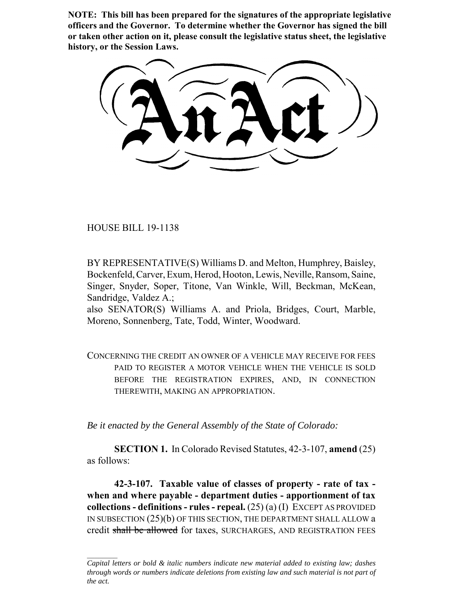**NOTE: This bill has been prepared for the signatures of the appropriate legislative officers and the Governor. To determine whether the Governor has signed the bill or taken other action on it, please consult the legislative status sheet, the legislative history, or the Session Laws.**

HOUSE BILL 19-1138

BY REPRESENTATIVE(S) Williams D. and Melton, Humphrey, Baisley, Bockenfeld, Carver, Exum, Herod, Hooton, Lewis, Neville, Ransom, Saine, Singer, Snyder, Soper, Titone, Van Winkle, Will, Beckman, McKean, Sandridge, Valdez A.;

also SENATOR(S) Williams A. and Priola, Bridges, Court, Marble, Moreno, Sonnenberg, Tate, Todd, Winter, Woodward.

CONCERNING THE CREDIT AN OWNER OF A VEHICLE MAY RECEIVE FOR FEES PAID TO REGISTER A MOTOR VEHICLE WHEN THE VEHICLE IS SOLD BEFORE THE REGISTRATION EXPIRES, AND, IN CONNECTION THEREWITH, MAKING AN APPROPRIATION.

*Be it enacted by the General Assembly of the State of Colorado:*

**SECTION 1.** In Colorado Revised Statutes, 42-3-107, **amend** (25) as follows:

**42-3-107. Taxable value of classes of property - rate of tax when and where payable - department duties - apportionment of tax collections - definitions - rules - repeal.** (25) (a) (I) EXCEPT AS PROVIDED IN SUBSECTION (25)(b) OF THIS SECTION, THE DEPARTMENT SHALL ALLOW a credit shall be allowed for taxes, SURCHARGES, AND REGISTRATION FEES

*Capital letters or bold & italic numbers indicate new material added to existing law; dashes through words or numbers indicate deletions from existing law and such material is not part of the act.*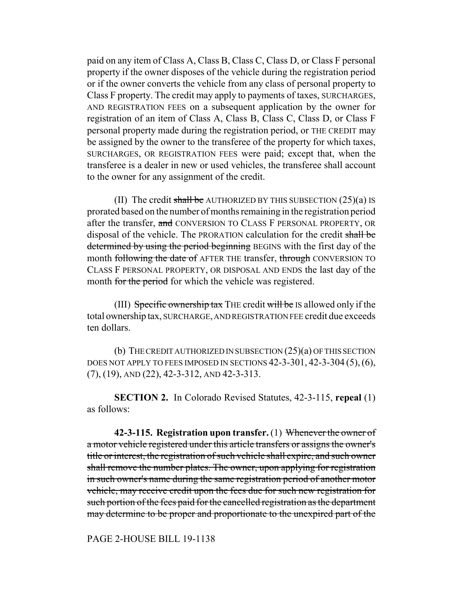paid on any item of Class A, Class B, Class C, Class D, or Class F personal property if the owner disposes of the vehicle during the registration period or if the owner converts the vehicle from any class of personal property to Class F property. The credit may apply to payments of taxes, SURCHARGES, AND REGISTRATION FEES on a subsequent application by the owner for registration of an item of Class A, Class B, Class C, Class D, or Class F personal property made during the registration period, or THE CREDIT may be assigned by the owner to the transferee of the property for which taxes, SURCHARGES, OR REGISTRATION FEES were paid; except that, when the transferee is a dealer in new or used vehicles, the transferee shall account to the owner for any assignment of the credit.

(II) The credit shall be AUTHORIZED BY THIS SUBSECTION  $(25)(a)$  IS prorated based on the number of months remaining in the registration period after the transfer, and CONVERSION TO CLASS F PERSONAL PROPERTY, OR disposal of the vehicle. The PRORATION calculation for the credit shall be determined by using the period beginning BEGINS with the first day of the month following the date of AFTER THE transfer, through CONVERSION TO CLASS F PERSONAL PROPERTY, OR DISPOSAL AND ENDS the last day of the month for the period for which the vehicle was registered.

(III) Specific ownership tax THE credit will be IS allowed only if the total ownership tax, SURCHARGE, AND REGISTRATION FEE credit due exceeds ten dollars.

(b) THE CREDIT AUTHORIZED IN SUBSECTION (25)(a) OF THIS SECTION DOES NOT APPLY TO FEES IMPOSED IN SECTIONS 42-3-301, 42-3-304 (5),(6), (7), (19), AND (22), 42-3-312, AND 42-3-313.

**SECTION 2.** In Colorado Revised Statutes, 42-3-115, **repeal** (1) as follows:

**42-3-115. Registration upon transfer.** (1) Whenever the owner of a motor vehicle registered under this article transfers or assigns the owner's title or interest, the registration of such vehicle shall expire, and such owner shall remove the number plates. The owner, upon applying for registration in such owner's name during the same registration period of another motor vehicle, may receive credit upon the fees due for such new registration for such portion of the fees paid for the cancelled registration as the department may determine to be proper and proportionate to the unexpired part of the

PAGE 2-HOUSE BILL 19-1138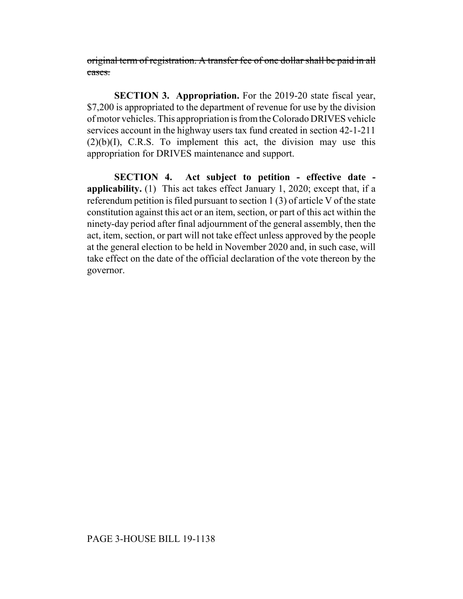original term of registration. A transfer fee of one dollar shall be paid in all cases.

**SECTION 3. Appropriation.** For the 2019-20 state fiscal year, \$7,200 is appropriated to the department of revenue for use by the division of motor vehicles. This appropriation is from the Colorado DRIVES vehicle services account in the highway users tax fund created in section 42-1-211  $(2)(b)(I)$ , C.R.S. To implement this act, the division may use this appropriation for DRIVES maintenance and support.

**SECTION 4. Act subject to petition - effective date applicability.** (1) This act takes effect January 1, 2020; except that, if a referendum petition is filed pursuant to section 1 (3) of article V of the state constitution against this act or an item, section, or part of this act within the ninety-day period after final adjournment of the general assembly, then the act, item, section, or part will not take effect unless approved by the people at the general election to be held in November 2020 and, in such case, will take effect on the date of the official declaration of the vote thereon by the governor.